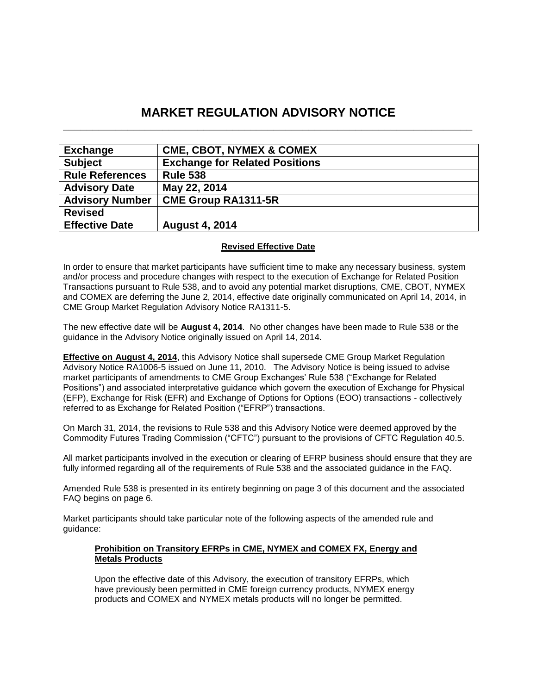# **MARKET REGULATION ADVISORY NOTICE \_\_\_\_\_\_\_\_\_\_\_\_\_\_\_\_\_\_\_\_\_\_\_\_\_\_\_\_\_\_\_\_\_\_\_\_\_\_\_\_\_\_\_\_\_\_\_\_\_\_\_\_\_\_\_\_\_\_\_\_\_\_\_\_\_\_\_\_\_\_**

| <b>Exchange</b>        | <b>CME, CBOT, NYMEX &amp; COMEX</b>   |
|------------------------|---------------------------------------|
| <b>Subject</b>         | <b>Exchange for Related Positions</b> |
| <b>Rule References</b> | <b>Rule 538</b>                       |
| <b>Advisory Date</b>   | May 22, 2014                          |
| <b>Advisory Number</b> | <b>CME Group RA1311-5R</b>            |
| <b>Revised</b>         |                                       |
| <b>Effective Date</b>  | <b>August 4, 2014</b>                 |

## **Revised Effective Date**

In order to ensure that market participants have sufficient time to make any necessary business, system and/or process and procedure changes with respect to the execution of Exchange for Related Position Transactions pursuant to Rule 538, and to avoid any potential market disruptions, CME, CBOT, NYMEX and COMEX are deferring the June 2, 2014, effective date originally communicated on April 14, 2014, in CME Group Market Regulation Advisory Notice RA1311-5.

The new effective date will be **August 4, 2014**. No other changes have been made to Rule 538 or the guidance in the Advisory Notice originally issued on April 14, 2014.

**Effective on August 4, 2014**, this Advisory Notice shall supersede CME Group Market Regulation Advisory Notice RA1006-5 issued on June 11, 2010. The Advisory Notice is being issued to advise market participants of amendments to CME Group Exchanges' Rule 538 ("Exchange for Related Positions") and associated interpretative guidance which govern the execution of Exchange for Physical (EFP), Exchange for Risk (EFR) and Exchange of Options for Options (EOO) transactions - collectively referred to as Exchange for Related Position ("EFRP") transactions.

On March 31, 2014, the revisions to Rule 538 and this Advisory Notice were deemed approved by the Commodity Futures Trading Commission ("CFTC") pursuant to the provisions of CFTC Regulation 40.5.

All market participants involved in the execution or clearing of EFRP business should ensure that they are fully informed regarding all of the requirements of Rule 538 and the associated guidance in the FAQ.

Amended Rule 538 is presented in its entirety beginning on page 3 of this document and the associated FAQ begins on page 6.

Market participants should take particular note of the following aspects of the amended rule and guidance:

## **Prohibition on Transitory EFRPs in CME, NYMEX and COMEX FX, Energy and Metals Products**

Upon the effective date of this Advisory, the execution of transitory EFRPs, which have previously been permitted in CME foreign currency products, NYMEX energy products and COMEX and NYMEX metals products will no longer be permitted.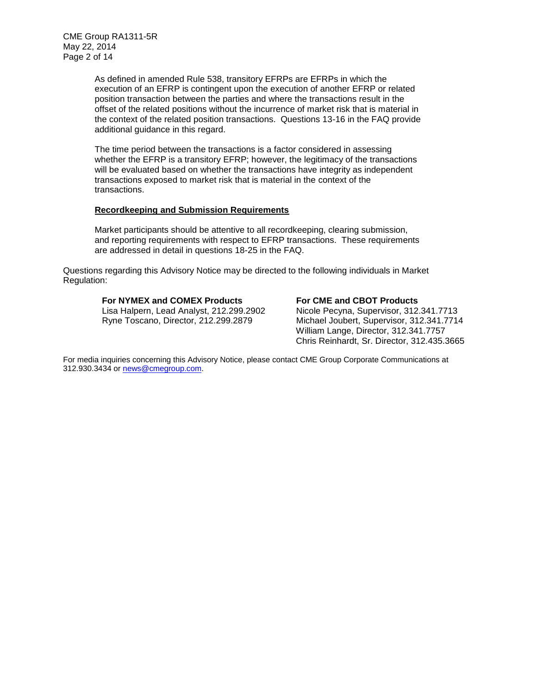CME Group RA1311-5R May 22, 2014 Page 2 of 14

> As defined in amended Rule 538, transitory EFRPs are EFRPs in which the execution of an EFRP is contingent upon the execution of another EFRP or related position transaction between the parties and where the transactions result in the offset of the related positions without the incurrence of market risk that is material in the context of the related position transactions. Questions 13-16 in the FAQ provide additional guidance in this regard.

The time period between the transactions is a factor considered in assessing whether the EFRP is a transitory EFRP; however, the legitimacy of the transactions will be evaluated based on whether the transactions have integrity as independent transactions exposed to market risk that is material in the context of the transactions.

#### **Recordkeeping and Submission Requirements**

Market participants should be attentive to all recordkeeping, clearing submission, and reporting requirements with respect to EFRP transactions. These requirements are addressed in detail in questions 18-25 in the FAQ.

Questions regarding this Advisory Notice may be directed to the following individuals in Market Regulation:

## **For NYMEX and COMEX Products For CME and CBOT Products**

 Lisa Halpern, Lead Analyst, 212.299.2902 Nicole Pecyna, Supervisor, 312.341.7713 Ryne Toscano, Director, 212.299.2879 Michael Joubert, Supervisor, 312.341.7714 William Lange, Director, 312.341.7757 Chris Reinhardt, Sr. Director, 312.435.3665

For media inquiries concerning this Advisory Notice, please contact CME Group Corporate Communications at 312.930.3434 or [news@cmegroup.com.](mailto:news@cmegroup.com)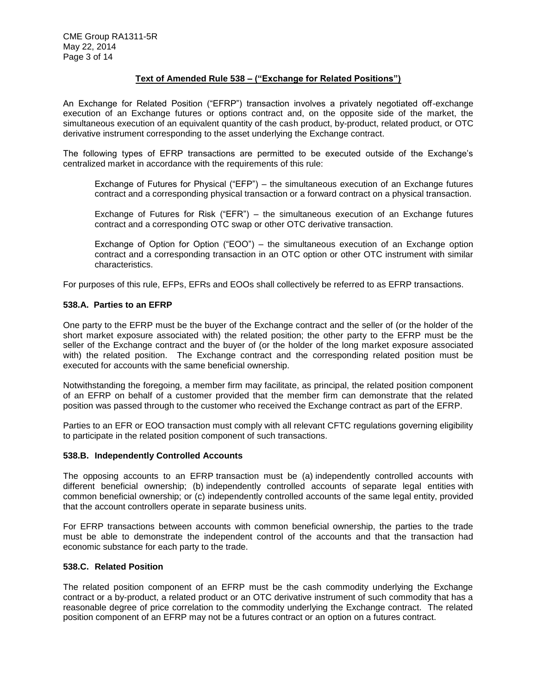## **Text of Amended Rule 538 – ("Exchange for Related Positions")**

An Exchange for Related Position ("EFRP") transaction involves a privately negotiated off-exchange execution of an Exchange futures or options contract and, on the opposite side of the market, the simultaneous execution of an equivalent quantity of the cash product, by-product, related product, or OTC derivative instrument corresponding to the asset underlying the Exchange contract.

The following types of EFRP transactions are permitted to be executed outside of the Exchange's centralized market in accordance with the requirements of this rule:

Exchange of Futures for Physical ("EFP") – the simultaneous execution of an Exchange futures contract and a corresponding physical transaction or a forward contract on a physical transaction.

Exchange of Futures for Risk ("EFR") – the simultaneous execution of an Exchange futures contract and a corresponding OTC swap or other OTC derivative transaction.

Exchange of Option for Option ("EOO") – the simultaneous execution of an Exchange option contract and a corresponding transaction in an OTC option or other OTC instrument with similar characteristics.

For purposes of this rule, EFPs, EFRs and EOOs shall collectively be referred to as EFRP transactions.

## **538.A. Parties to an EFRP**

One party to the EFRP must be the buyer of the Exchange contract and the seller of (or the holder of the short market exposure associated with) the related position; the other party to the EFRP must be the seller of the Exchange contract and the buyer of (or the holder of the long market exposure associated with) the related position. The Exchange contract and the corresponding related position must be executed for accounts with the same beneficial ownership.

Notwithstanding the foregoing, a member firm may facilitate, as principal, the related position component of an EFRP on behalf of a customer provided that the member firm can demonstrate that the related position was passed through to the customer who received the Exchange contract as part of the EFRP.

Parties to an EFR or EOO transaction must comply with all relevant CFTC regulations governing eligibility to participate in the related position component of such transactions.

## **538.B. Independently Controlled Accounts**

The opposing accounts to an EFRP transaction must be (a) independently controlled accounts with different beneficial ownership; (b) independently controlled accounts of separate legal entities with common beneficial ownership; or (c) independently controlled accounts of the same legal entity, provided that the account controllers operate in separate business units.

For EFRP transactions between accounts with common beneficial ownership, the parties to the trade must be able to demonstrate the independent control of the accounts and that the transaction had economic substance for each party to the trade.

## **538.C. Related Position**

The related position component of an EFRP must be the cash commodity underlying the Exchange contract or a by-product, a related product or an OTC derivative instrument of such commodity that has a reasonable degree of price correlation to the commodity underlying the Exchange contract. The related position component of an EFRP may not be a futures contract or an option on a futures contract.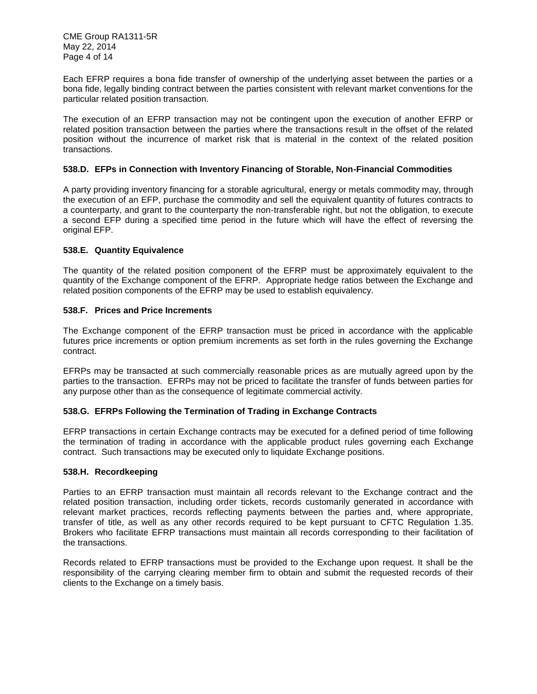Each EFRP requires a bona fide transfer of ownership of the underlying asset between the parties or a bona fide, legally binding contract between the parties consistent with relevant market conventions for the particular related position transaction.

The execution of an EFRP transaction may not be contingent upon the execution of another EFRP or related position transaction between the parties where the transactions result in the offset of the related position without the incurrence of market risk that is material in the context of the related position transactions.

## **538.D. EFPs in Connection with Inventory Financing of Storable, Non-Financial Commodities**

A party providing inventory financing for a storable agricultural, energy or metals commodity may, through the execution of an EFP, purchase the commodity and sell the equivalent quantity of futures contracts to a counterparty, and grant to the counterparty the non-transferable right, but not the obligation, to execute a second EFP during a specified time period in the future which will have the effect of reversing the original EFP.

#### **538.E. Quantity Equivalence**

The quantity of the related position component of the EFRP must be approximately equivalent to the quantity of the Exchange component of the EFRP. Appropriate hedge ratios between the Exchange and related position components of the EFRP may be used to establish equivalency.

#### **538.F. Prices and Price Increments**

The Exchange component of the EFRP transaction must be priced in accordance with the applicable futures price increments or option premium increments as set forth in the rules governing the Exchange contract.

EFRPs may be transacted at such commercially reasonable prices as are mutually agreed upon by the parties to the transaction. EFRPs may not be priced to facilitate the transfer of funds between parties for any purpose other than as the consequence of legitimate commercial activity.

## **538.G. EFRPs Following the Termination of Trading in Exchange Contracts**

EFRP transactions in certain Exchange contracts may be executed for a defined period of time following the termination of trading in accordance with the applicable product rules governing each Exchange contract. Such transactions may be executed only to liquidate Exchange positions.

#### **538.H. Recordkeeping**

Parties to an EFRP transaction must maintain all records relevant to the Exchange contract and the related position transaction, including order tickets, records customarily generated in accordance with relevant market practices, records reflecting payments between the parties and, where appropriate, transfer of title, as well as any other records required to be kept pursuant to CFTC Regulation 1.35. Brokers who facilitate EFRP transactions must maintain all records corresponding to their facilitation of the transactions.

Records related to EFRP transactions must be provided to the Exchange upon request. It shall be the responsibility of the carrying clearing member firm to obtain and submit the requested records of their clients to the Exchange on a timely basis.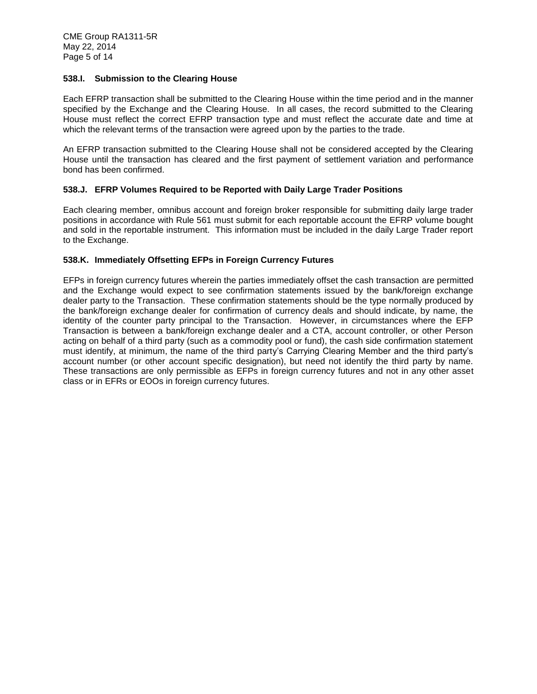## **538.I. Submission to the Clearing House**

Each EFRP transaction shall be submitted to the Clearing House within the time period and in the manner specified by the Exchange and the Clearing House. In all cases, the record submitted to the Clearing House must reflect the correct EFRP transaction type and must reflect the accurate date and time at which the relevant terms of the transaction were agreed upon by the parties to the trade.

An EFRP transaction submitted to the Clearing House shall not be considered accepted by the Clearing House until the transaction has cleared and the first payment of settlement variation and performance bond has been confirmed.

## **538.J. EFRP Volumes Required to be Reported with Daily Large Trader Positions**

Each clearing member, omnibus account and foreign broker responsible for submitting daily large trader positions in accordance with Rule 561 must submit for each reportable account the EFRP volume bought and sold in the reportable instrument. This information must be included in the daily Large Trader report to the Exchange.

## **538.K. Immediately Offsetting EFPs in Foreign Currency Futures**

EFPs in foreign currency futures wherein the parties immediately offset the cash transaction are permitted and the Exchange would expect to see confirmation statements issued by the bank/foreign exchange dealer party to the Transaction. These confirmation statements should be the type normally produced by the bank/foreign exchange dealer for confirmation of currency deals and should indicate, by name, the identity of the counter party principal to the Transaction. However, in circumstances where the EFP Transaction is between a bank/foreign exchange dealer and a CTA, account controller, or other Person acting on behalf of a third party (such as a commodity pool or fund), the cash side confirmation statement must identify, at minimum, the name of the third party's Carrying Clearing Member and the third party's account number (or other account specific designation), but need not identify the third party by name. These transactions are only permissible as EFPs in foreign currency futures and not in any other asset class or in EFRs or EOOs in foreign currency futures.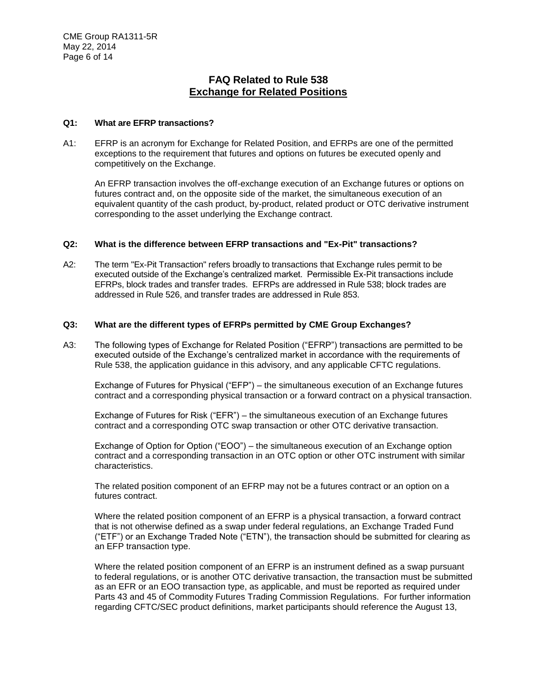# **FAQ Related to Rule 538 Exchange for Related Positions**

## **Q1: What are EFRP transactions?**

A1: EFRP is an acronym for Exchange for Related Position, and EFRPs are one of the permitted exceptions to the requirement that futures and options on futures be executed openly and competitively on the Exchange.

An EFRP transaction involves the off-exchange execution of an Exchange futures or options on futures contract and, on the opposite side of the market, the simultaneous execution of an equivalent quantity of the cash product, by-product, related product or OTC derivative instrument corresponding to the asset underlying the Exchange contract.

## **Q2: What is the difference between EFRP transactions and "Ex-Pit" transactions?**

A2: The term "Ex-Pit Transaction" refers broadly to transactions that Exchange rules permit to be executed outside of the Exchange's centralized market. Permissible Ex-Pit transactions include EFRPs, block trades and transfer trades. EFRPs are addressed in Rule 538; block trades are addressed in Rule 526, and transfer trades are addressed in Rule 853.

#### **Q3: What are the different types of EFRPs permitted by CME Group Exchanges?**

A3: The following types of Exchange for Related Position ("EFRP") transactions are permitted to be executed outside of the Exchange's centralized market in accordance with the requirements of Rule 538, the application guidance in this advisory, and any applicable CFTC regulations.

Exchange of Futures for Physical ("EFP") – the simultaneous execution of an Exchange futures contract and a corresponding physical transaction or a forward contract on a physical transaction.

Exchange of Futures for Risk ("EFR") – the simultaneous execution of an Exchange futures contract and a corresponding OTC swap transaction or other OTC derivative transaction.

Exchange of Option for Option ("EOO") – the simultaneous execution of an Exchange option contract and a corresponding transaction in an OTC option or other OTC instrument with similar characteristics.

The related position component of an EFRP may not be a futures contract or an option on a futures contract.

Where the related position component of an EFRP is a physical transaction, a forward contract that is not otherwise defined as a swap under federal regulations, an Exchange Traded Fund ("ETF") or an Exchange Traded Note ("ETN"), the transaction should be submitted for clearing as an EFP transaction type.

Where the related position component of an EFRP is an instrument defined as a swap pursuant to federal regulations, or is another OTC derivative transaction, the transaction must be submitted as an EFR or an EOO transaction type, as applicable, and must be reported as required under Parts 43 and 45 of Commodity Futures Trading Commission Regulations. For further information regarding CFTC/SEC product definitions, market participants should reference the August 13,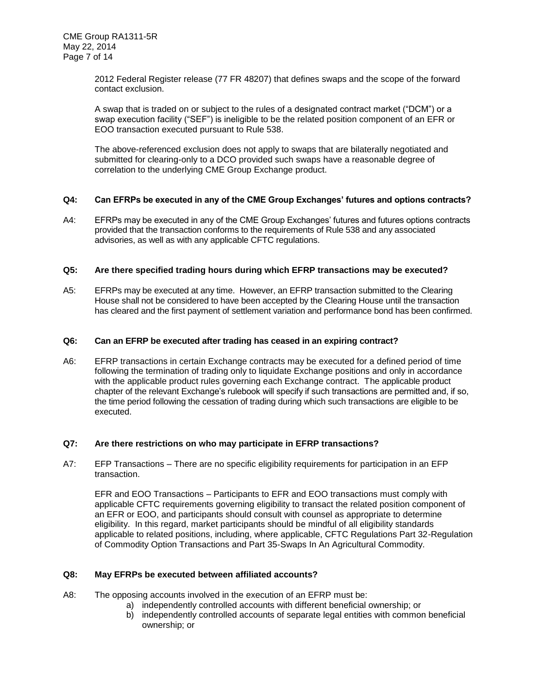2012 Federal Register release (77 FR 48207) that defines swaps and the scope of the forward contact exclusion.

A swap that is traded on or subject to the rules of a designated contract market ("DCM") or a swap execution facility ("SEF") is ineligible to be the related position component of an EFR or EOO transaction executed pursuant to Rule 538.

The above-referenced exclusion does not apply to swaps that are bilaterally negotiated and submitted for clearing-only to a DCO provided such swaps have a reasonable degree of correlation to the underlying CME Group Exchange product.

#### **Q4: Can EFRPs be executed in any of the CME Group Exchanges' futures and options contracts?**

A4: EFRPs may be executed in any of the CME Group Exchanges' futures and futures options contracts provided that the transaction conforms to the requirements of Rule 538 and any associated advisories, as well as with any applicable CFTC regulations.

#### **Q5: Are there specified trading hours during which EFRP transactions may be executed?**

A5: EFRPs may be executed at any time. However, an EFRP transaction submitted to the Clearing House shall not be considered to have been accepted by the Clearing House until the transaction has cleared and the first payment of settlement variation and performance bond has been confirmed.

#### **Q6: Can an EFRP be executed after trading has ceased in an expiring contract?**

A6: EFRP transactions in certain Exchange contracts may be executed for a defined period of time following the termination of trading only to liquidate Exchange positions and only in accordance with the applicable product rules governing each Exchange contract. The applicable product chapter of the relevant Exchange's rulebook will specify if such transactions are permitted and, if so, the time period following the cessation of trading during which such transactions are eligible to be executed.

## **Q7: Are there restrictions on who may participate in EFRP transactions?**

A7: EFP Transactions – There are no specific eligibility requirements for participation in an EFP transaction.

EFR and EOO Transactions – Participants to EFR and EOO transactions must comply with applicable CFTC requirements governing eligibility to transact the related position component of an EFR or EOO, and participants should consult with counsel as appropriate to determine eligibility. In this regard, market participants should be mindful of all eligibility standards applicable to related positions, including, where applicable, CFTC Regulations Part 32-Regulation of Commodity Option Transactions and Part 35-Swaps In An Agricultural Commodity.

#### **Q8: May EFRPs be executed between affiliated accounts?**

- A8: The opposing accounts involved in the execution of an EFRP must be:
	- a) independently controlled accounts with different beneficial ownership; or
	- b) independently controlled accounts of separate legal entities with common beneficial ownership; or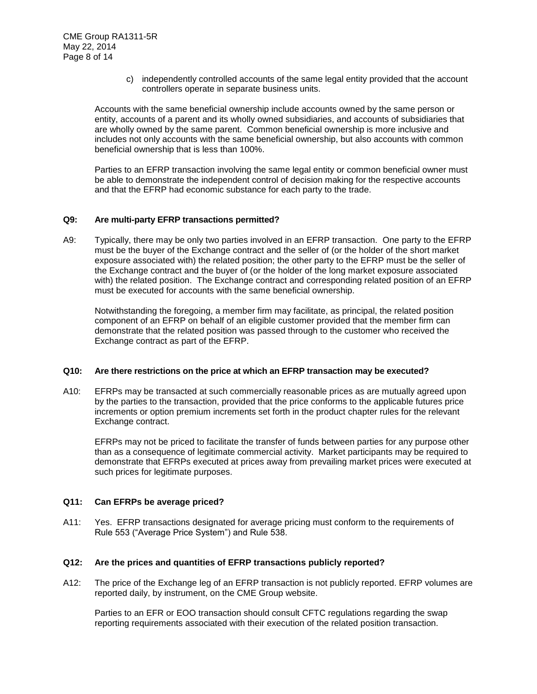c) independently controlled accounts of the same legal entity provided that the account controllers operate in separate business units.

Accounts with the same beneficial ownership include accounts owned by the same person or entity, accounts of a parent and its wholly owned subsidiaries, and accounts of subsidiaries that are wholly owned by the same parent. Common beneficial ownership is more inclusive and includes not only accounts with the same beneficial ownership, but also accounts with common beneficial ownership that is less than 100%.

Parties to an EFRP transaction involving the same legal entity or common beneficial owner must be able to demonstrate the independent control of decision making for the respective accounts and that the EFRP had economic substance for each party to the trade.

## **Q9: Are multi-party EFRP transactions permitted?**

A9: Typically, there may be only two parties involved in an EFRP transaction. One party to the EFRP must be the buyer of the Exchange contract and the seller of (or the holder of the short market exposure associated with) the related position; the other party to the EFRP must be the seller of the Exchange contract and the buyer of (or the holder of the long market exposure associated with) the related position. The Exchange contract and corresponding related position of an EFRP must be executed for accounts with the same beneficial ownership.

Notwithstanding the foregoing, a member firm may facilitate, as principal, the related position component of an EFRP on behalf of an eligible customer provided that the member firm can demonstrate that the related position was passed through to the customer who received the Exchange contract as part of the EFRP.

## **Q10: Are there restrictions on the price at which an EFRP transaction may be executed?**

A10: EFRPs may be transacted at such commercially reasonable prices as are mutually agreed upon by the parties to the transaction, provided that the price conforms to the applicable futures price increments or option premium increments set forth in the product chapter rules for the relevant Exchange contract.

EFRPs may not be priced to facilitate the transfer of funds between parties for any purpose other than as a consequence of legitimate commercial activity. Market participants may be required to demonstrate that EFRPs executed at prices away from prevailing market prices were executed at such prices for legitimate purposes.

#### **Q11: Can EFRPs be average priced?**

A11: Yes. EFRP transactions designated for average pricing must conform to the requirements of Rule 553 ("Average Price System") and Rule 538.

#### **Q12: Are the prices and quantities of EFRP transactions publicly reported?**

A12: The price of the Exchange leg of an EFRP transaction is not publicly reported. EFRP volumes are reported daily, by instrument, on the CME Group website.

Parties to an EFR or EOO transaction should consult CFTC regulations regarding the swap reporting requirements associated with their execution of the related position transaction.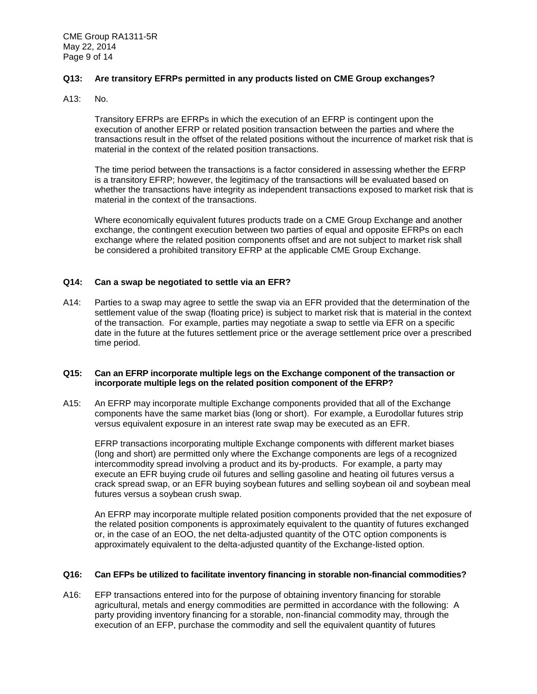## **Q13: Are transitory EFRPs permitted in any products listed on CME Group exchanges?**

A13: No.

Transitory EFRPs are EFRPs in which the execution of an EFRP is contingent upon the execution of another EFRP or related position transaction between the parties and where the transactions result in the offset of the related positions without the incurrence of market risk that is material in the context of the related position transactions.

The time period between the transactions is a factor considered in assessing whether the EFRP is a transitory EFRP; however, the legitimacy of the transactions will be evaluated based on whether the transactions have integrity as independent transactions exposed to market risk that is material in the context of the transactions.

Where economically equivalent futures products trade on a CME Group Exchange and another exchange, the contingent execution between two parties of equal and opposite EFRPs on each exchange where the related position components offset and are not subject to market risk shall be considered a prohibited transitory EFRP at the applicable CME Group Exchange.

## **Q14: Can a swap be negotiated to settle via an EFR?**

A14: Parties to a swap may agree to settle the swap via an EFR provided that the determination of the settlement value of the swap (floating price) is subject to market risk that is material in the context of the transaction. For example, parties may negotiate a swap to settle via EFR on a specific date in the future at the futures settlement price or the average settlement price over a prescribed time period.

#### **Q15: Can an EFRP incorporate multiple legs on the Exchange component of the transaction or incorporate multiple legs on the related position component of the EFRP?**

A15: An EFRP may incorporate multiple Exchange components provided that all of the Exchange components have the same market bias (long or short). For example, a Eurodollar futures strip versus equivalent exposure in an interest rate swap may be executed as an EFR.

EFRP transactions incorporating multiple Exchange components with different market biases (long and short) are permitted only where the Exchange components are legs of a recognized intercommodity spread involving a product and its by-products. For example, a party may execute an EFR buying crude oil futures and selling gasoline and heating oil futures versus a crack spread swap, or an EFR buying soybean futures and selling soybean oil and soybean meal futures versus a soybean crush swap.

An EFRP may incorporate multiple related position components provided that the net exposure of the related position components is approximately equivalent to the quantity of futures exchanged or, in the case of an EOO, the net delta-adjusted quantity of the OTC option components is approximately equivalent to the delta-adjusted quantity of the Exchange-listed option.

#### **Q16: Can EFPs be utilized to facilitate inventory financing in storable non-financial commodities?**

A16: EFP transactions entered into for the purpose of obtaining inventory financing for storable agricultural, metals and energy commodities are permitted in accordance with the following: A party providing inventory financing for a storable, non-financial commodity may, through the execution of an EFP, purchase the commodity and sell the equivalent quantity of futures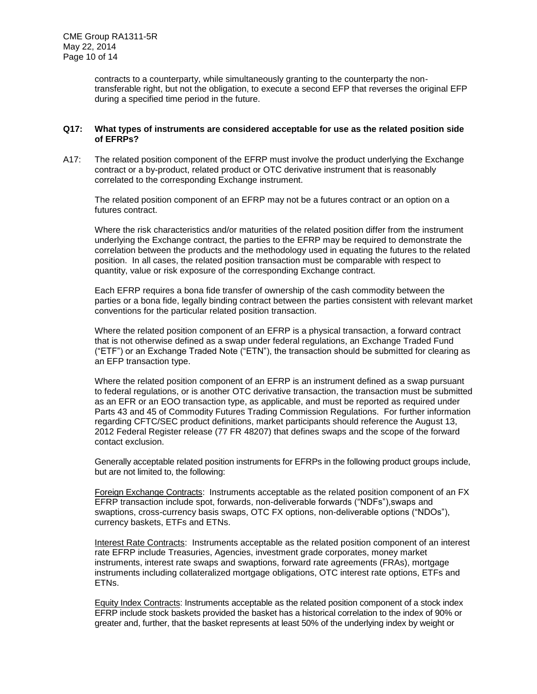contracts to a counterparty, while simultaneously granting to the counterparty the nontransferable right, but not the obligation, to execute a second EFP that reverses the original EFP during a specified time period in the future.

## **Q17: What types of instruments are considered acceptable for use as the related position side of EFRPs?**

A17: The related position component of the EFRP must involve the product underlying the Exchange contract or a by-product, related product or OTC derivative instrument that is reasonably correlated to the corresponding Exchange instrument.

The related position component of an EFRP may not be a futures contract or an option on a futures contract.

Where the risk characteristics and/or maturities of the related position differ from the instrument underlying the Exchange contract, the parties to the EFRP may be required to demonstrate the correlation between the products and the methodology used in equating the futures to the related position. In all cases, the related position transaction must be comparable with respect to quantity, value or risk exposure of the corresponding Exchange contract.

Each EFRP requires a bona fide transfer of ownership of the cash commodity between the parties or a bona fide, legally binding contract between the parties consistent with relevant market conventions for the particular related position transaction.

Where the related position component of an EFRP is a physical transaction, a forward contract that is not otherwise defined as a swap under federal regulations, an Exchange Traded Fund ("ETF") or an Exchange Traded Note ("ETN"), the transaction should be submitted for clearing as an EFP transaction type.

Where the related position component of an EFRP is an instrument defined as a swap pursuant to federal regulations, or is another OTC derivative transaction, the transaction must be submitted as an EFR or an EOO transaction type, as applicable, and must be reported as required under Parts 43 and 45 of Commodity Futures Trading Commission Regulations. For further information regarding CFTC/SEC product definitions, market participants should reference the August 13, 2012 Federal Register release (77 FR 48207) that defines swaps and the scope of the forward contact exclusion.

Generally acceptable related position instruments for EFRPs in the following product groups include, but are not limited to, the following:

Foreign Exchange Contracts: Instruments acceptable as the related position component of an FX EFRP transaction include spot, forwards, non-deliverable forwards ("NDFs"),swaps and swaptions, cross-currency basis swaps, OTC FX options, non-deliverable options ("NDOs"), currency baskets, ETFs and ETNs.

Interest Rate Contracts: Instruments acceptable as the related position component of an interest rate EFRP include Treasuries, Agencies, investment grade corporates, money market instruments, interest rate swaps and swaptions, forward rate agreements (FRAs), mortgage instruments including collateralized mortgage obligations, OTC interest rate options, ETFs and ETNs.

Equity Index Contracts: Instruments acceptable as the related position component of a stock index EFRP include stock baskets provided the basket has a historical correlation to the index of 90% or greater and, further, that the basket represents at least 50% of the underlying index by weight or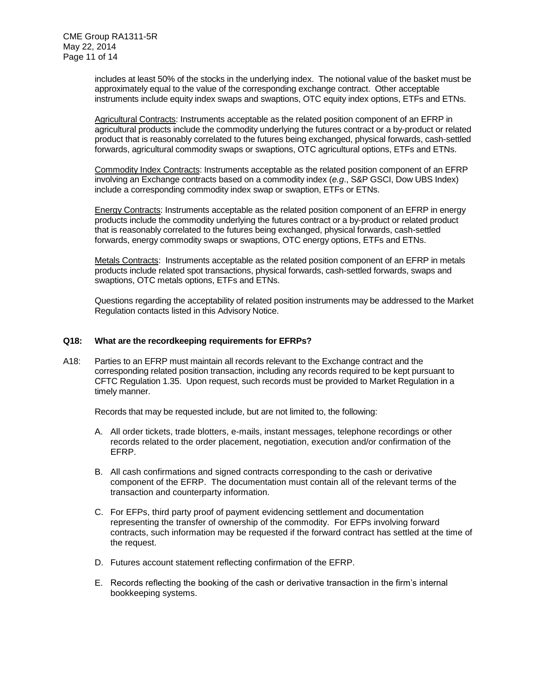includes at least 50% of the stocks in the underlying index. The notional value of the basket must be approximately equal to the value of the corresponding exchange contract. Other acceptable instruments include equity index swaps and swaptions, OTC equity index options, ETFs and ETNs.

Agricultural Contracts: Instruments acceptable as the related position component of an EFRP in agricultural products include the commodity underlying the futures contract or a by-product or related product that is reasonably correlated to the futures being exchanged, physical forwards, cash-settled forwards, agricultural commodity swaps or swaptions, OTC agricultural options, ETFs and ETNs.

Commodity Index Contracts: Instruments acceptable as the related position component of an EFRP involving an Exchange contracts based on a commodity index (*e.g*., S&P GSCI, Dow UBS Index) include a corresponding commodity index swap or swaption, ETFs or ETNs.

Energy Contracts: Instruments acceptable as the related position component of an EFRP in energy products include the commodity underlying the futures contract or a by-product or related product that is reasonably correlated to the futures being exchanged, physical forwards, cash-settled forwards, energy commodity swaps or swaptions, OTC energy options, ETFs and ETNs.

Metals Contracts: Instruments acceptable as the related position component of an EFRP in metals products include related spot transactions, physical forwards, cash-settled forwards, swaps and swaptions, OTC metals options, ETFs and ETNs.

Questions regarding the acceptability of related position instruments may be addressed to the Market Regulation contacts listed in this Advisory Notice.

#### **Q18: What are the recordkeeping requirements for EFRPs?**

A18: Parties to an EFRP must maintain all records relevant to the Exchange contract and the corresponding related position transaction, including any records required to be kept pursuant to CFTC Regulation 1.35. Upon request, such records must be provided to Market Regulation in a timely manner.

Records that may be requested include, but are not limited to, the following:

- A. All order tickets, trade blotters, e-mails, instant messages, telephone recordings or other records related to the order placement, negotiation, execution and/or confirmation of the EFRP.
- B. All cash confirmations and signed contracts corresponding to the cash or derivative component of the EFRP. The documentation must contain all of the relevant terms of the transaction and counterparty information.
- C. For EFPs, third party proof of payment evidencing settlement and documentation representing the transfer of ownership of the commodity. For EFPs involving forward contracts, such information may be requested if the forward contract has settled at the time of the request.
- D. Futures account statement reflecting confirmation of the EFRP.
- E. Records reflecting the booking of the cash or derivative transaction in the firm's internal bookkeeping systems.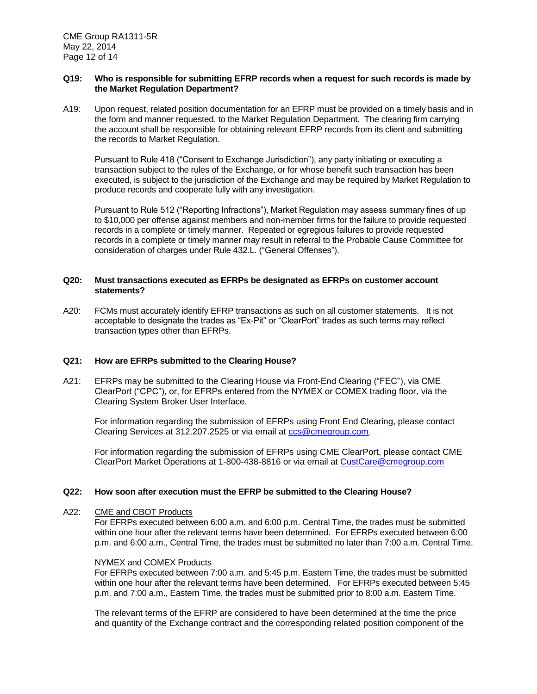#### **Q19: Who is responsible for submitting EFRP records when a request for such records is made by the Market Regulation Department?**

A19: Upon request, related position documentation for an EFRP must be provided on a timely basis and in the form and manner requested, to the Market Regulation Department. The clearing firm carrying the account shall be responsible for obtaining relevant EFRP records from its client and submitting the records to Market Regulation.

Pursuant to Rule 418 ("Consent to Exchange Jurisdiction"), any party initiating or executing a transaction subject to the rules of the Exchange, or for whose benefit such transaction has been executed, is subject to the jurisdiction of the Exchange and may be required by Market Regulation to produce records and cooperate fully with any investigation.

Pursuant to Rule 512 ("Reporting Infractions"), Market Regulation may assess summary fines of up to \$10,000 per offense against members and non-member firms for the failure to provide requested records in a complete or timely manner. Repeated or egregious failures to provide requested records in a complete or timely manner may result in referral to the Probable Cause Committee for consideration of charges under Rule 432.L. ("General Offenses").

## **Q20: Must transactions executed as EFRPs be designated as EFRPs on customer account statements?**

A20: FCMs must accurately identify EFRP transactions as such on all customer statements. It is not acceptable to designate the trades as "Ex-Pit" or "ClearPort" trades as such terms may reflect transaction types other than EFRPs.

## **Q21: How are EFRPs submitted to the Clearing House?**

A21: EFRPs may be submitted to the Clearing House via Front-End Clearing ("FEC"), via CME ClearPort ("CPC"), or, for EFRPs entered from the NYMEX or COMEX trading floor, via the Clearing System Broker User Interface.

For information regarding the submission of EFRPs using Front End Clearing, please contact Clearing Services at 312.207.2525 or via email at [ccs@cmegroup.com.](mailto:ccs@cmegroup.com)

For information regarding the submission of EFRPs using CME ClearPort, please contact CME ClearPort Market Operations at 1-800-438-8816 or via email at [CustCare@cmegroup.com](mailto:CustCare@cmegroup.com)

#### **Q22: How soon after execution must the EFRP be submitted to the Clearing House?**

#### A22: CME and CBOT Products

For EFRPs executed between 6:00 a.m. and 6:00 p.m. Central Time, the trades must be submitted within one hour after the relevant terms have been determined. For EFRPs executed between 6:00 p.m. and 6:00 a.m., Central Time, the trades must be submitted no later than 7:00 a.m. Central Time.

### NYMEX and COMEX Products

For EFRPs executed between 7:00 a.m. and 5:45 p.m. Eastern Time, the trades must be submitted within one hour after the relevant terms have been determined. For EFRPs executed between 5:45 p.m. and 7:00 a.m., Eastern Time, the trades must be submitted prior to 8:00 a.m. Eastern Time.

The relevant terms of the EFRP are considered to have been determined at the time the price and quantity of the Exchange contract and the corresponding related position component of the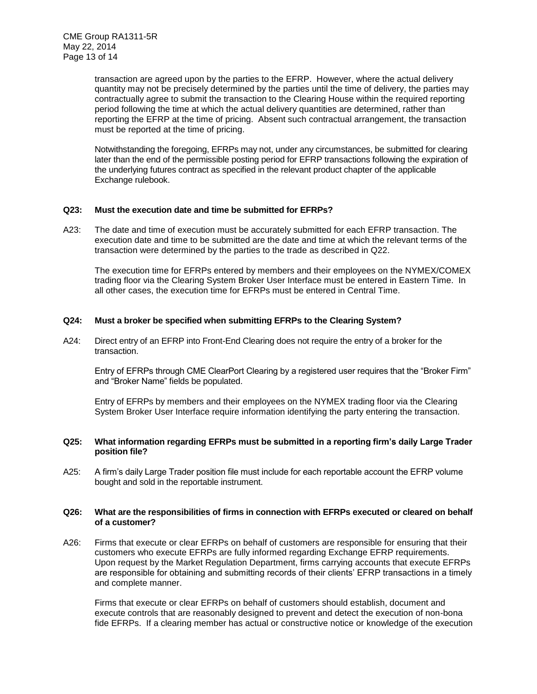transaction are agreed upon by the parties to the EFRP. However, where the actual delivery quantity may not be precisely determined by the parties until the time of delivery, the parties may contractually agree to submit the transaction to the Clearing House within the required reporting period following the time at which the actual delivery quantities are determined, rather than reporting the EFRP at the time of pricing. Absent such contractual arrangement, the transaction must be reported at the time of pricing.

Notwithstanding the foregoing, EFRPs may not, under any circumstances, be submitted for clearing later than the end of the permissible posting period for EFRP transactions following the expiration of the underlying futures contract as specified in the relevant product chapter of the applicable Exchange rulebook.

## **Q23: Must the execution date and time be submitted for EFRPs?**

A23: The date and time of execution must be accurately submitted for each EFRP transaction. The execution date and time to be submitted are the date and time at which the relevant terms of the transaction were determined by the parties to the trade as described in Q22.

The execution time for EFRPs entered by members and their employees on the NYMEX/COMEX trading floor via the Clearing System Broker User Interface must be entered in Eastern Time. In all other cases, the execution time for EFRPs must be entered in Central Time.

#### **Q24: Must a broker be specified when submitting EFRPs to the Clearing System?**

A24: Direct entry of an EFRP into Front-End Clearing does not require the entry of a broker for the transaction.

Entry of EFRPs through CME ClearPort Clearing by a registered user requires that the "Broker Firm" and "Broker Name" fields be populated.

Entry of EFRPs by members and their employees on the NYMEX trading floor via the Clearing System Broker User Interface require information identifying the party entering the transaction.

#### **Q25: What information regarding EFRPs must be submitted in a reporting firm's daily Large Trader position file?**

A25: A firm's daily Large Trader position file must include for each reportable account the EFRP volume bought and sold in the reportable instrument.

#### **Q26: What are the responsibilities of firms in connection with EFRPs executed or cleared on behalf of a customer?**

A26: Firms that execute or clear EFRPs on behalf of customers are responsible for ensuring that their customers who execute EFRPs are fully informed regarding Exchange EFRP requirements. Upon request by the Market Regulation Department, firms carrying accounts that execute EFRPs are responsible for obtaining and submitting records of their clients' EFRP transactions in a timely and complete manner.

Firms that execute or clear EFRPs on behalf of customers should establish, document and execute controls that are reasonably designed to prevent and detect the execution of non-bona fide EFRPs. If a clearing member has actual or constructive notice or knowledge of the execution